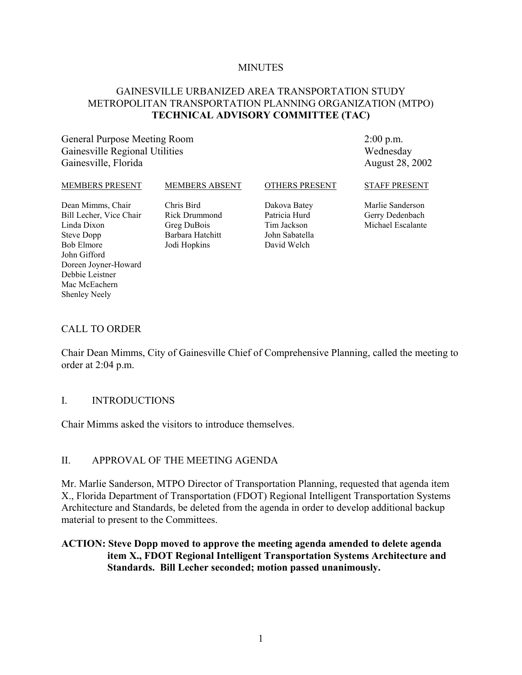#### **MINUTES**

#### GAINESVILLE URBANIZED AREA TRANSPORTATION STUDY METROPOLITAN TRANSPORTATION PLANNING ORGANIZATION (MTPO) **TECHNICAL ADVISORY COMMITTEE (TAC)**

General Purpose Meeting Room Gainesville Regional Utilities Gainesville, Florida

2:00 p.m. Wednesday August 28, 2002

#### MEMBERS PRESENT Dean Mimms, Chair Bill Lecher, Vice Chair Linda Dixon Steve Dopp Bob Elmore John Gifford Doreen Joyner-Howard MEMBERS ABSENT Chris Bird Rick Drummond Greg DuBois Barbara Hatchitt Jodi Hopkins OTHERS PRESENT Dakova Batey Patricia Hurd Tim Jackson John Sabatella David Welch STAFF PRESENT Marlie Sanderson Gerry Dedenbach Michael Escalante

#### CALL TO ORDER

Debbie Leistner Mac McEachern Shenley Neely

Chair Dean Mimms, City of Gainesville Chief of Comprehensive Planning, called the meeting to order at 2:04 p.m.

#### I. INTRODUCTIONS

Chair Mimms asked the visitors to introduce themselves.

#### II. APPROVAL OF THE MEETING AGENDA

Mr. Marlie Sanderson, MTPO Director of Transportation Planning, requested that agenda item X., Florida Department of Transportation (FDOT) Regional Intelligent Transportation Systems Architecture and Standards, be deleted from the agenda in order to develop additional backup material to present to the Committees.

#### **ACTION: Steve Dopp moved to approve the meeting agenda amended to delete agenda item X., FDOT Regional Intelligent Transportation Systems Architecture and Standards. Bill Lecher seconded; motion passed unanimously.**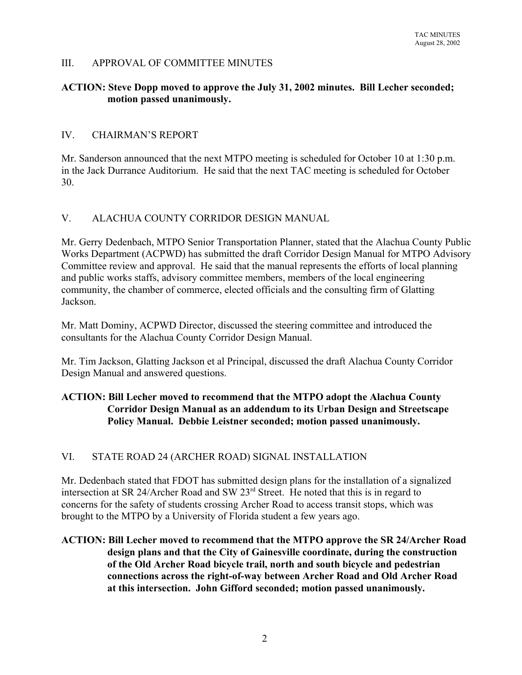## III. APPROVAL OF COMMITTEE MINUTES

### **ACTION: Steve Dopp moved to approve the July 31, 2002 minutes. Bill Lecher seconded; motion passed unanimously.**

## IV. CHAIRMAN'S REPORT

Mr. Sanderson announced that the next MTPO meeting is scheduled for October 10 at 1:30 p.m. in the Jack Durrance Auditorium. He said that the next TAC meeting is scheduled for October 30.

## V. ALACHUA COUNTY CORRIDOR DESIGN MANUAL

Mr. Gerry Dedenbach, MTPO Senior Transportation Planner, stated that the Alachua County Public Works Department (ACPWD) has submitted the draft Corridor Design Manual for MTPO Advisory Committee review and approval. He said that the manual represents the efforts of local planning and public works staffs, advisory committee members, members of the local engineering community, the chamber of commerce, elected officials and the consulting firm of Glatting Jackson.

Mr. Matt Dominy, ACPWD Director, discussed the steering committee and introduced the consultants for the Alachua County Corridor Design Manual.

Mr. Tim Jackson, Glatting Jackson et al Principal, discussed the draft Alachua County Corridor Design Manual and answered questions.

# **ACTION: Bill Lecher moved to recommend that the MTPO adopt the Alachua County Corridor Design Manual as an addendum to its Urban Design and Streetscape Policy Manual. Debbie Leistner seconded; motion passed unanimously.**

## VI. STATE ROAD 24 (ARCHER ROAD) SIGNAL INSTALLATION

Mr. Dedenbach stated that FDOT has submitted design plans for the installation of a signalized intersection at SR 24/Archer Road and SW 23<sup>rd</sup> Street. He noted that this is in regard to concerns for the safety of students crossing Archer Road to access transit stops, which was brought to the MTPO by a University of Florida student a few years ago.

## **ACTION: Bill Lecher moved to recommend that the MTPO approve the SR 24/Archer Road design plans and that the City of Gainesville coordinate, during the construction of the Old Archer Road bicycle trail, north and south bicycle and pedestrian connections across the right-of-way between Archer Road and Old Archer Road at this intersection. John Gifford seconded; motion passed unanimously.**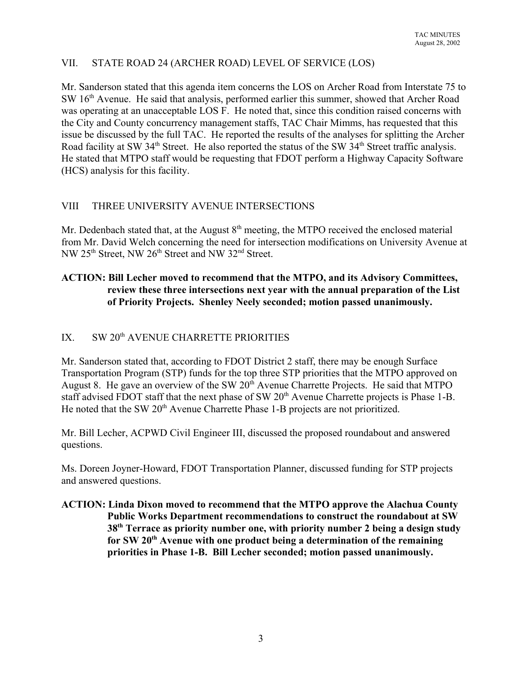# VII. STATE ROAD 24 (ARCHER ROAD) LEVEL OF SERVICE (LOS)

Mr. Sanderson stated that this agenda item concerns the LOS on Archer Road from Interstate 75 to SW 16<sup>th</sup> Avenue. He said that analysis, performed earlier this summer, showed that Archer Road was operating at an unacceptable LOS F. He noted that, since this condition raised concerns with the City and County concurrency management staffs, TAC Chair Mimms, has requested that this issue be discussed by the full TAC. He reported the results of the analyses for splitting the Archer Road facility at SW 34<sup>th</sup> Street. He also reported the status of the SW 34<sup>th</sup> Street traffic analysis. He stated that MTPO staff would be requesting that FDOT perform a Highway Capacity Software (HCS) analysis for this facility.

# VIII THREE UNIVERSITY AVENUE INTERSECTIONS

Mr. Dedenbach stated that, at the August  $8<sup>th</sup>$  meeting, the MTPO received the enclosed material from Mr. David Welch concerning the need for intersection modifications on University Avenue at NW 25<sup>th</sup> Street, NW 26<sup>th</sup> Street and NW 32<sup>nd</sup> Street.

## **ACTION: Bill Lecher moved to recommend that the MTPO, and its Advisory Committees, review these three intersections next year with the annual preparation of the List of Priority Projects. Shenley Neely seconded; motion passed unanimously.**

# IX. SW 20<sup>th</sup> AVENUE CHARRETTE PRIORITIES

Mr. Sanderson stated that, according to FDOT District 2 staff, there may be enough Surface Transportation Program (STP) funds for the top three STP priorities that the MTPO approved on August 8. He gave an overview of the SW 20<sup>th</sup> Avenue Charrette Projects. He said that MTPO staff advised FDOT staff that the next phase of SW 20<sup>th</sup> Avenue Charrette projects is Phase 1-B. He noted that the SW 20<sup>th</sup> Avenue Charrette Phase 1-B projects are not prioritized.

Mr. Bill Lecher, ACPWD Civil Engineer III, discussed the proposed roundabout and answered questions.

Ms. Doreen Joyner-Howard, FDOT Transportation Planner, discussed funding for STP projects and answered questions.

**ACTION: Linda Dixon moved to recommend that the MTPO approve the Alachua County Public Works Department recommendations to construct the roundabout at SW 38th Terrace as priority number one, with priority number 2 being a design study for SW 20th Avenue with one product being a determination of the remaining priorities in Phase 1-B. Bill Lecher seconded; motion passed unanimously.**